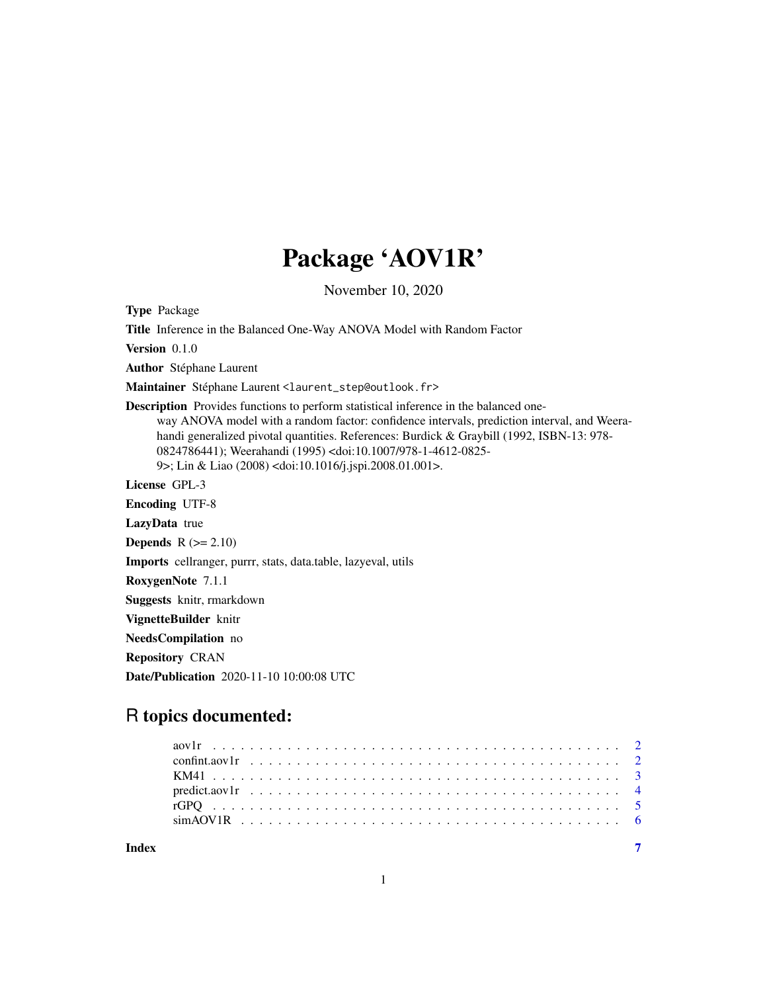## Package 'AOV1R'

November 10, 2020

Type Package

Title Inference in the Balanced One-Way ANOVA Model with Random Factor

Version 0.1.0

Author Stéphane Laurent

Maintainer Stéphane Laurent <laurent\_step@outlook.fr>

Description Provides functions to perform statistical inference in the balanced oneway ANOVA model with a random factor: confidence intervals, prediction interval, and Weerahandi generalized pivotal quantities. References: Burdick & Graybill (1992, ISBN-13: 978- 0824786441); Weerahandi (1995) <doi:10.1007/978-1-4612-0825- 9>; Lin & Liao (2008) <doi:10.1016/j.jspi.2008.01.001>.

License GPL-3

Encoding UTF-8

LazyData true

**Depends**  $R$  ( $>= 2.10$ )

Imports cellranger, purrr, stats, data.table, lazyeval, utils

RoxygenNote 7.1.1

Suggests knitr, rmarkdown

VignetteBuilder knitr

NeedsCompilation no

Repository CRAN

Date/Publication 2020-11-10 10:00:08 UTC

## R topics documented:

| Indev |  |  |  |  |  |  |  |  |  |  |  |  |  |  |  |  |  |  |  |  |  |  |
|-------|--|--|--|--|--|--|--|--|--|--|--|--|--|--|--|--|--|--|--|--|--|--|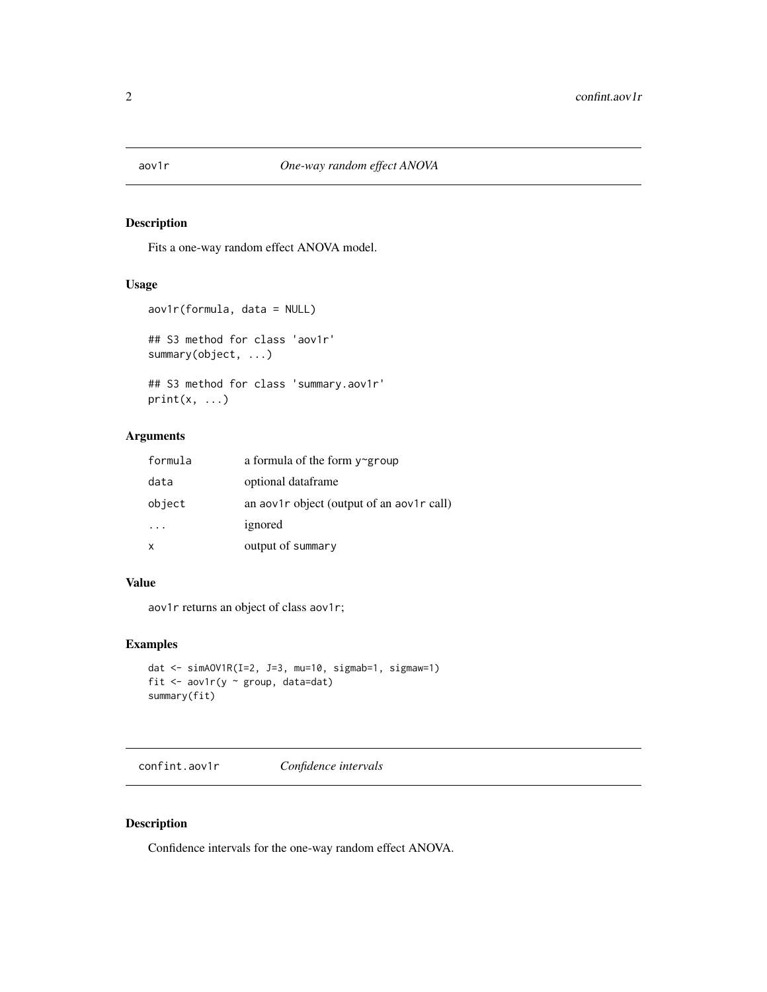<span id="page-1-1"></span><span id="page-1-0"></span>

#### Description

Fits a one-way random effect ANOVA model.

#### Usage

```
aov1r(formula, data = NULL)
## S3 method for class 'aov1r'
summary(object, ...)
## S3 method for class 'summary.aov1r'
print(x, \ldots)
```
## Arguments

| formula | a formula of the form $y \sim g$ roup           |
|---------|-------------------------------------------------|
| data    | optional dataframe                              |
| object  | an ao $v1r$ object (output of an ao $v1r$ call) |
|         | ignored                                         |
|         | output of summary                               |

## Value

aov1r returns an object of class aov1r;

#### Examples

```
dat <- simAOV1R(I=2, J=3, mu=10, sigmab=1, sigmaw=1)
fit <- aov1r(y ~ group, data=dat)
summary(fit)
```
confint.aov1r *Confidence intervals*

## Description

Confidence intervals for the one-way random effect ANOVA.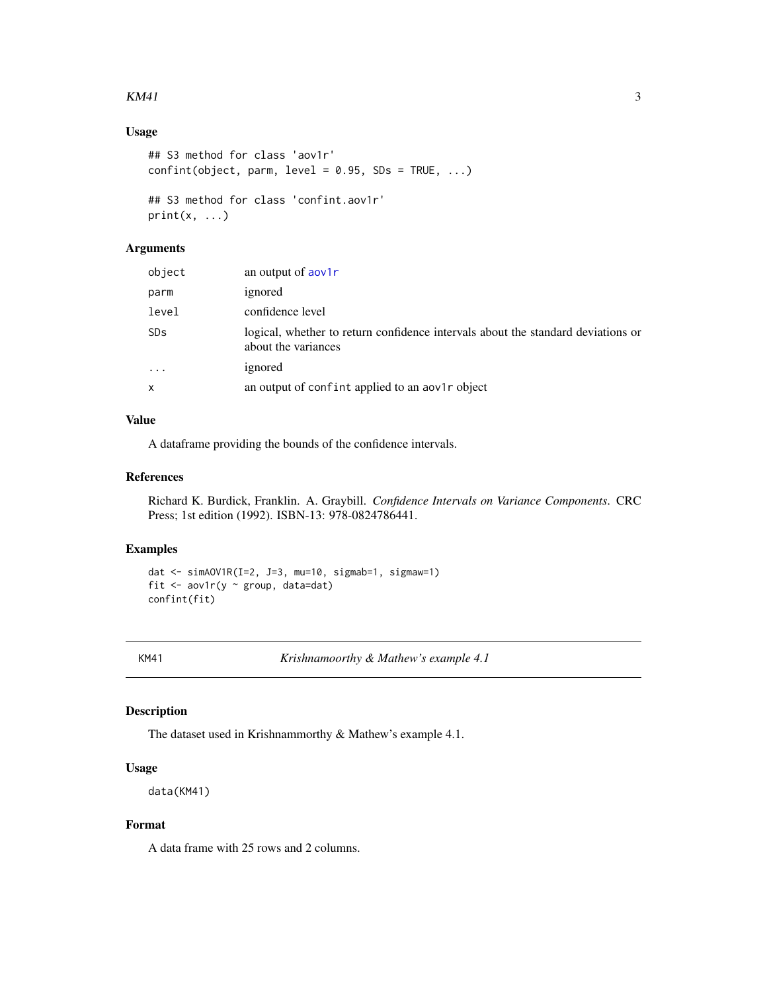#### <span id="page-2-0"></span> $KM41$  3

## Usage

```
## S3 method for class 'aov1r'
confint(object, parm, level = 0.95, SDS = TRUE, ...)## S3 method for class 'confint.aov1r'
print(x, \ldots)
```
## Arguments

| object                    | an output of aov1r                                                                                      |
|---------------------------|---------------------------------------------------------------------------------------------------------|
| parm                      | ignored                                                                                                 |
| level                     | confidence level                                                                                        |
| <b>SDs</b>                | logical, whether to return confidence intervals about the standard deviations or<br>about the variances |
| $\ddotsc$                 | ignored                                                                                                 |
| $\boldsymbol{\mathsf{x}}$ | an output of confint applied to an aov1r object                                                         |

## Value

A dataframe providing the bounds of the confidence intervals.

#### References

Richard K. Burdick, Franklin. A. Graybill. *Confidence Intervals on Variance Components*. CRC Press; 1st edition (1992). ISBN-13: 978-0824786441.

#### Examples

```
dat <- simAOV1R(I=2, J=3, mu=10, sigmab=1, sigmaw=1)
fit \leq aov1r(y \sim group, data=dat)
confint(fit)
```
KM41 *Krishnamoorthy & Mathew's example 4.1*

## Description

The dataset used in Krishnammorthy & Mathew's example 4.1.

#### Usage

data(KM41)

#### Format

A data frame with 25 rows and 2 columns.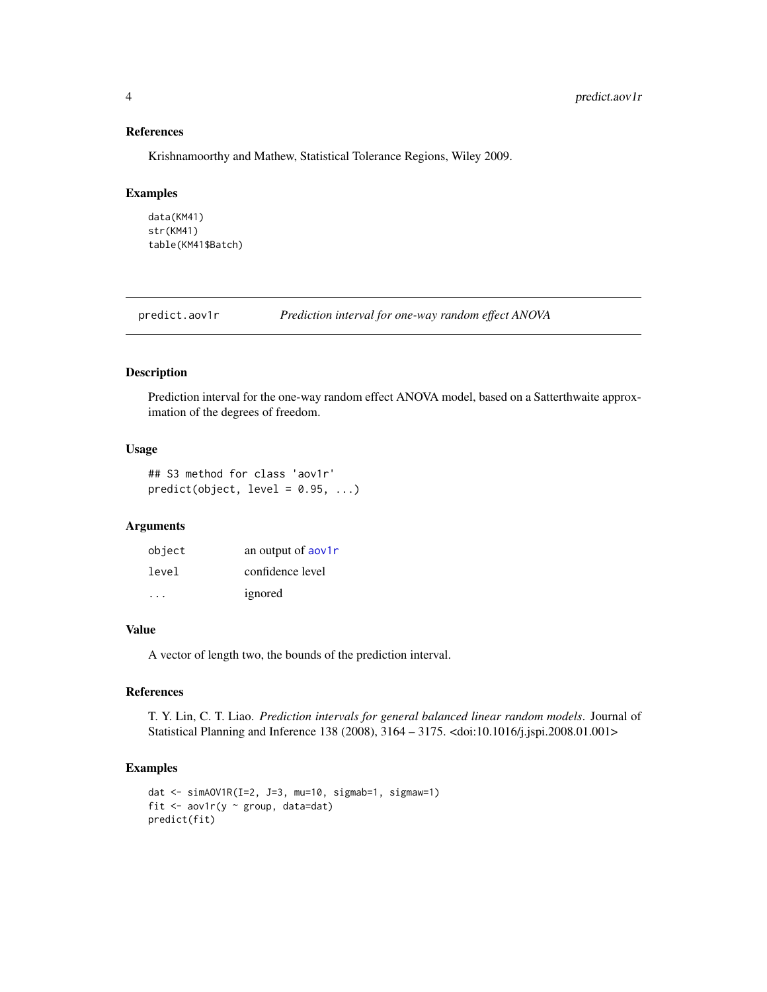## References

Krishnamoorthy and Mathew, Statistical Tolerance Regions, Wiley 2009.

#### Examples

```
data(KM41)
str(KM41)
table(KM41$Batch)
```
predict.aov1r *Prediction interval for one-way random effect ANOVA*

#### Description

Prediction interval for the one-way random effect ANOVA model, based on a Satterthwaite approximation of the degrees of freedom.

#### Usage

```
## S3 method for class 'aov1r'
predict(object, level = 0.95, ...)
```
#### Arguments

| object | an output of aov1r |
|--------|--------------------|
| level  | confidence level   |
| .      | ignored            |

## Value

A vector of length two, the bounds of the prediction interval.

## References

T. Y. Lin, C. T. Liao. *Prediction intervals for general balanced linear random models*. Journal of Statistical Planning and Inference 138 (2008), 3164 – 3175. <doi:10.1016/j.jspi.2008.01.001>

## Examples

```
dat <- simAOV1R(I=2, J=3, mu=10, sigmab=1, sigmaw=1)
fit <- aov1r(y ~ group, data=dat)
predict(fit)
```
<span id="page-3-0"></span>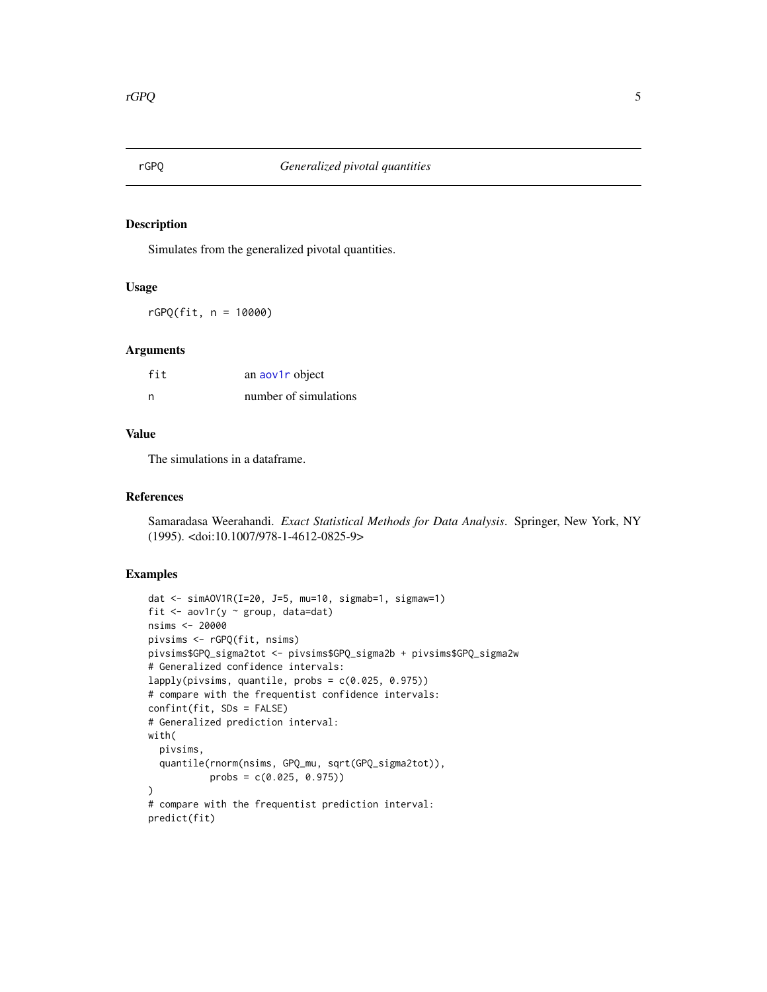<span id="page-4-0"></span>

#### Description

Simulates from the generalized pivotal quantities.

#### Usage

rGPQ(fit, n = 10000)

#### Arguments

| fit | an aov1r object       |
|-----|-----------------------|
| n   | number of simulations |

#### Value

The simulations in a dataframe.

#### References

Samaradasa Weerahandi. *Exact Statistical Methods for Data Analysis*. Springer, New York, NY (1995). <doi:10.1007/978-1-4612-0825-9>

#### Examples

```
dat <- simAOV1R(I=20, J=5, mu=10, sigmab=1, sigmaw=1)
fit \leq aov1r(y \sim group, data=dat)
nsims <- 20000
pivsims <- rGPQ(fit, nsims)
pivsims$GPQ_sigma2tot <- pivsims$GPQ_sigma2b + pivsims$GPQ_sigma2w
# Generalized confidence intervals:
lapply(pivsims, quantile, probs = c(0.025, 0.975))
# compare with the frequentist confidence intervals:
confint(fit, SDs = FALSE)
# Generalized prediction interval:
with(
  pivsims,
  quantile(rnorm(nsims, GPQ_mu, sqrt(GPQ_sigma2tot)),
           probs = c(0.025, 0.975))
)
# compare with the frequentist prediction interval:
predict(fit)
```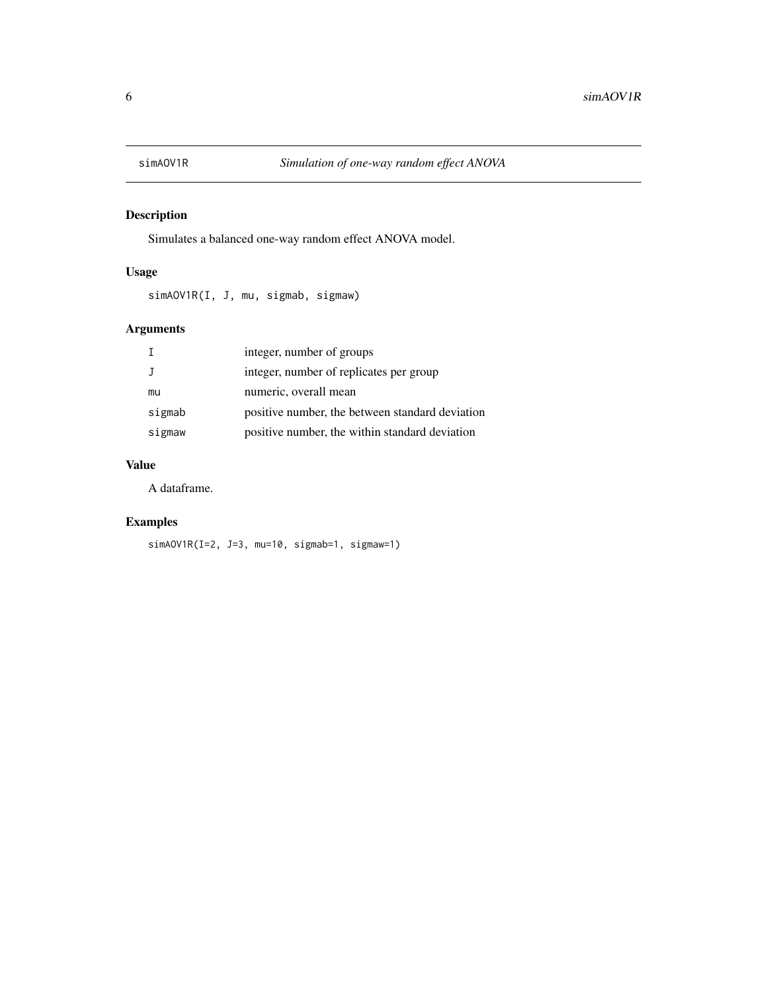<span id="page-5-0"></span>

## Description

Simulates a balanced one-way random effect ANOVA model.

## Usage

simAOV1R(I, J, mu, sigmab, sigmaw)

## Arguments

|        | integer, number of groups                       |
|--------|-------------------------------------------------|
|        | integer, number of replicates per group         |
| mu     | numeric, overall mean                           |
| sigmab | positive number, the between standard deviation |
| sigmaw | positive number, the within standard deviation  |

## Value

A dataframe.

## Examples

simAOV1R(I=2, J=3, mu=10, sigmab=1, sigmaw=1)